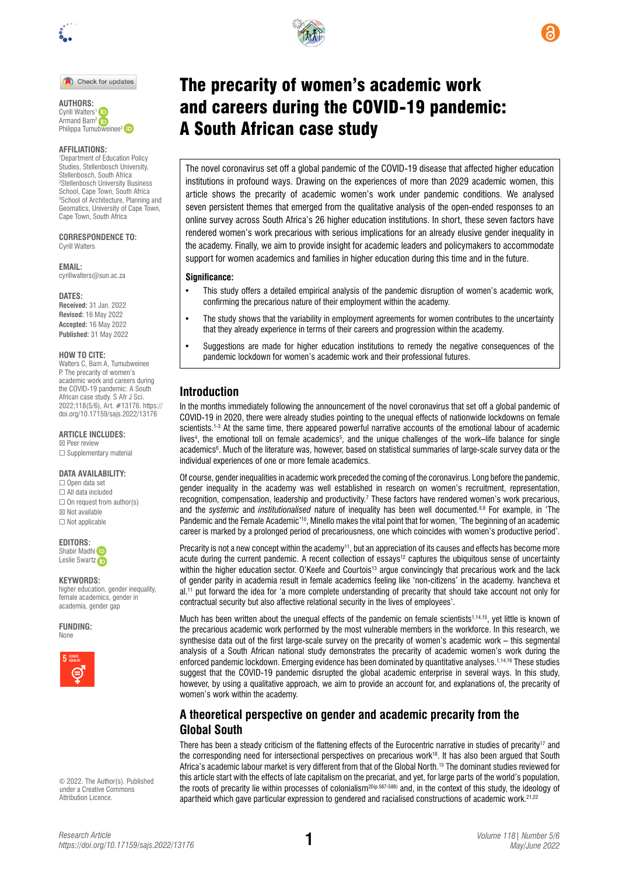

#### Check for updates

**AUTHORS:**  Cyrill Walters<sup>1</sup> Armand Bam<sup>2</sup> iD Philippa Tum[ubwei](https://orcid.org/0000-0002-6074-7232)nee<sup>3</sup>

#### **AFFILIATIONS:**

1 Department of Education Policy Studies, Stellenbosch University, Stellenbosch, South Africa 2 Stellenbosch University Business School, Cape Town, South Africa 3 School of Architecture, Planning and Geomatics, University of Cape Town, Cape Town, South Africa

**CORRESPONDENCE TO:**  Cyrill Walters

**EMAIL:** 

[cyrillwalters@sun.ac.za](mailto:cyrillwalters@sun.ac.za)

#### **DATES:**

**Received:** 31 Jan. 2022 **Revised:** 16 May 2022 **Accepted:** 16 May 2022 **Published:** 31 May 2022

#### **HOW TO CITE:**

Walters C, Bam A, Tumubweinee P. The precarity of women's academic work and careers during the COVID-19 pandemic: A South African case study. S Afr J Sci. 2022;118(5/6), Art. #13176. [https://](https://doi.org/10.17159/sajs.2022/13176) [doi.org/10.17159/sajs.2022/13176](https://doi.org/10.17159/sajs.2022/13176)

#### **ARTICLE INCLUDES:**

☒ Peer review ☐ Supplementary material

### **DATA AVAILABILITY:**

☐ Open data set ☐ All data included  $\Box$  On request from author(s) ☒ Not available ☐ Not applicable

#### **EDITORS:**

Shab[i](https://orcid.org/0000-0002-7629-0636)r Madhi<sup>D</sup> Leslie Swart[z](https://orcid.org/0000-0003-1741-5897)

#### **KEYWORDS:**

higher education, gender inequality, female academics, gender in academia, gender gap

**FUNDING:**  None



© 2022. The Author(s). Published under a [Creative Commons](https://creativecommons.org/licenses/by/4.0/)  [Attribution Licence.](https://creativecommons.org/licenses/by/4.0/)

*Research Article*



A South African case study

The novel coronavirus set off a global pandemic of the COVID-19 disease that affected higher education institutions in profound ways. Drawing on the experiences of more than 2029 academic women, this article shows the precarity of academic women's work under pandemic conditions. We analysed seven persistent themes that emerged from the qualitative analysis of the open-ended responses to an online survey across South Africa's 26 higher education institutions. In short, these seven factors have

rendered women's work precarious with serious implications for an already elusive gender inequality in the academy. Finally, we aim to provide insight for academic leaders and policymakers to accommodate support for women academics and families in higher education during this time and in the future.

#### **Significance:**

- This study offers a detailed empirical analysis of the pandemic disruption of women's academic work, confirming the precarious nature of their employment within the academy.
- The study shows that the variability in employment agreements for women contributes to the uncertainty that they already experience in terms of their careers and progression within the academy.
- Suggestions are made for higher education institutions to remedy the negative consequences of the pandemic lockdown for women's academic work and their professional futures.

# **Introduction**

In the months immediately following the announcement of the novel coronavirus that set off a global pandemic of COVID-19 in 2020, there were already studies pointing to the unequal effects of nationwide lockdowns on female scientists.1-3 At the same time, there appeared powerful narrative accounts of the emotional labour of academic lives<sup>4</sup>, the emotional toll on female academics<sup>5</sup>, and the unique challenges of the work–life balance for single academics<sup>6</sup>. Much of the literature was, however, based on statistical summaries of large-scale survey data or the individual experiences of one or more female academics.

Of course, gender inequalities in academic work preceded the coming of the coronavirus. Long before the pandemic, gender inequality in the academy was well established in research on women's recruitment, representation, recognition, compensation, leadership and productivity.<sup>7</sup> These factors have rendered women's work precarious, and the *systemic* and *institutionalised* nature of inequality has been well documented.8,9 For example, in 'The Pandemic and the Female Academic'10, Minello makes the vital point that for women, 'The beginning of an academic career is marked by a prolonged period of precariousness, one which coincides with women's productive period'.

Precarity is not a new concept within the academy<sup>11</sup>, but an appreciation of its causes and effects has become more acute during the current pandemic. A recent collection of essays<sup>12</sup> captures the ubiquitous sense of uncertainty within the higher education sector. O'Keefe and Courtois<sup>13</sup> argue convincingly that precarious work and the lack of gender parity in academia result in female academics feeling like 'non-citizens' in the academy. Ivancheva et al.<sup>11</sup> put forward the idea for 'a more complete understanding of precarity that should take account not only for contractual security but also affective relational security in the lives of employees'.

Much has been written about the unequal effects of the pandemic on female scientists<sup>1,14,15</sup>, yet little is known of the precarious academic work performed by the most vulnerable members in the workforce. In this research, we synthesise data out of the first large-scale survey on the precarity of women's academic work – this segmental analysis of a South African national study demonstrates the precarity of academic women's work during the enforced pandemic lockdown. Emerging evidence has been dominated by quantitative analyses.<sup>1,14,16</sup> These studies suggest that the COVID-19 pandemic disrupted the global academic enterprise in several ways. In this study, however, by using a qualitative approach, we aim to provide an account for, and explanations of, the precarity of women's work within the academy.

# **A theoretical perspective on gender and academic precarity from the Global South**

There has been a steady criticism of the flattening effects of the Eurocentric narrative in studies of precarity<sup>17</sup> and the corresponding need for intersectional perspectives on precarious work<sup>18</sup>. It has also been argued that South Africa's academic labour market is very different from that of the Global North. 19 The dominant studies reviewed for this article start with the effects of late capitalism on the precariat, and yet, for large parts of the world's population, the roots of precarity lie within processes of colonialism<sup>20(p.587-588)</sup> and, in the context of this study, the ideology of apartheid which gave particular expression to gendered and racialised constructions of academic work.<sup>21,22</sup>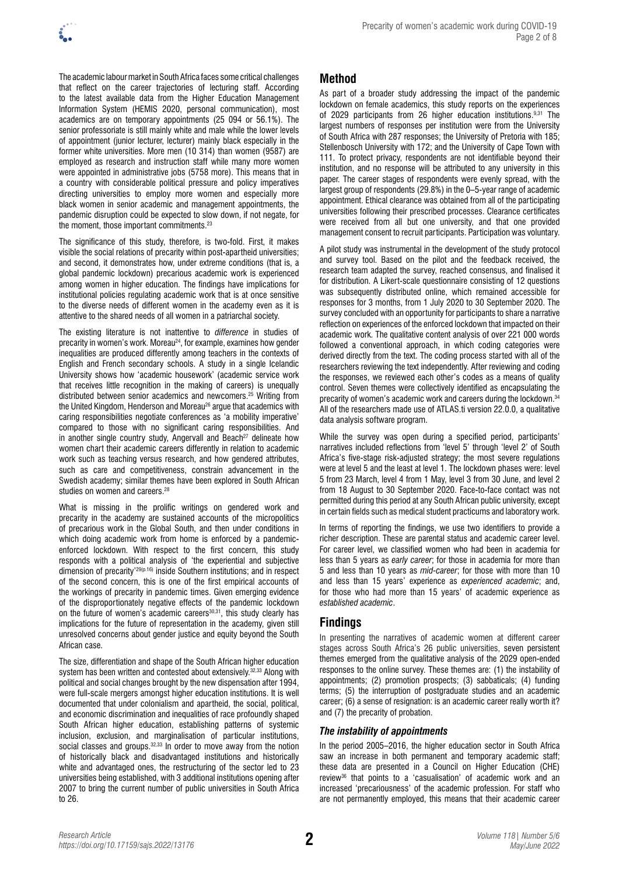

The academic labour market in South Africa faces some critical challenges that reflect on the career trajectories of lecturing staff. According to the latest available data from the Higher Education Management Information System (HEMIS 2020, personal communication), most academics are on temporary appointments (25 094 or 56.1%). The senior professoriate is still mainly white and male while the lower levels of appointment (junior lecturer, lecturer) mainly black especially in the former white universities. More men (10 314) than women (9587) are employed as research and instruction staff while many more women were appointed in administrative jobs (5758 more). This means that in a country with considerable political pressure and policy imperatives directing universities to employ more women and especially more black women in senior academic and management appointments, the pandemic disruption could be expected to slow down, if not negate, for the moment, those important commitments.23

The significance of this study, therefore, is two-fold. First, it makes visible the social relations of precarity within post-apartheid universities; and second, it demonstrates how, under extreme conditions (that is, a global pandemic lockdown) precarious academic work is experienced among women in higher education. The findings have implications for institutional policies regulating academic work that is at once sensitive to the diverse needs of different women in the academy even as it is attentive to the shared needs of all women in a patriarchal society.

The existing literature is not inattentive to *difference* in studies of precarity in women's work. Moreau<sup>24</sup>, for example, examines how gender inequalities are produced differently among teachers in the contexts of English and French secondary schools. A study in a single Icelandic University shows how 'academic housework' (academic service work that receives little recognition in the making of careers) is unequally distributed between senior academics and newcomers.25 Writing from the United Kingdom, Henderson and Moreau<sup>26</sup> argue that academics with caring responsibilities negotiate conferences as 'a mobility imperative' compared to those with no significant caring responsibilities. And in another single country study, Angervall and Beach<sup>27</sup> delineate how women chart their academic careers differently in relation to academic work such as teaching versus research, and how gendered attributes, such as care and competitiveness, constrain advancement in the Swedish academy; similar themes have been explored in South African studies on women and careers.<sup>28</sup>

What is missing in the prolific writings on gendered work and precarity in the academy are sustained accounts of the micropolitics of precarious work in the Global South, and then under conditions in which doing academic work from home is enforced by a pandemicenforced lockdown. With respect to the first concern, this study responds with a political analysis of 'the experiential and subjective dimension of precarity'<sup>29(p.16)</sup> inside Southern institutions; and in respect of the second concern, this is one of the first empirical accounts of the workings of precarity in pandemic times. Given emerging evidence of the disproportionately negative effects of the pandemic lockdown on the future of women's academic careers<sup>30,31</sup>, this study clearly has implications for the future of representation in the academy, given still unresolved concerns about gender justice and equity beyond the South African case.

The size, differentiation and shape of the South African higher education system has been written and contested about extensively.32,33 Along with political and social changes brought by the new dispensation after 1994, were full-scale mergers amongst higher education institutions. It is well documented that under colonialism and apartheid, the social, political, and economic discrimination and inequalities of race profoundly shaped South African higher education, establishing patterns of systemic inclusion, exclusion, and marginalisation of particular institutions, social classes and groups.<sup>32,33</sup> In order to move away from the notion of historically black and disadvantaged institutions and historically white and advantaged ones, the restructuring of the sector led to 23 universities being established, with 3 additional institutions opening after 2007 to bring the current number of public universities in South Africa to 26.

# **Method**

As part of a broader study addressing the impact of the pandemic lockdown on female academics, this study reports on the experiences of 2029 participants from 26 higher education institutions.<sup>9,31</sup> The largest numbers of responses per institution were from the University of South Africa with 287 responses; the University of Pretoria with 185; Stellenbosch University with 172; and the University of Cape Town with 111. To protect privacy, respondents are not identifiable beyond their institution, and no response will be attributed to any university in this paper. The career stages of respondents were evenly spread, with the largest group of respondents (29.8%) in the 0–5-year range of academic appointment. Ethical clearance was obtained from all of the participating universities following their prescribed processes. Clearance certificates were received from all but one university, and that one provided management consent to recruit participants. Participation was voluntary.

A pilot study was instrumental in the development of the study protocol and survey tool. Based on the pilot and the feedback received, the research team adapted the survey, reached consensus, and finalised it for distribution. A Likert-scale questionnaire consisting of 12 questions was subsequently distributed online, which remained accessible for responses for 3 months, from 1 July 2020 to 30 September 2020. The survey concluded with an opportunity for participants to share a narrative reflection on experiences of the enforced lockdown that impacted on their academic work. The qualitative content analysis of over 221 000 words followed a conventional approach, in which coding categories were derived directly from the text. The coding process started with all of the researchers reviewing the text independently. After reviewing and coding the responses, we reviewed each other's codes as a means of quality control. Seven themes were collectively identified as encapsulating the precarity of women's academic work and careers during the lockdown.34 All of the researchers made use of ATLAS.ti version 22.0.0, a qualitative data analysis software program.

While the survey was open during a specified period, participants' narratives included reflections from 'level 5' through 'level 2' of South Africa's five-stage risk-adjusted strategy; the most severe regulations were at level 5 and the least at level 1. The lockdown phases were: level 5 from 23 March, level 4 from 1 May, level 3 from 30 June, and level 2 from 18 August to 30 September 2020. Face-to-face contact was not permitted during this period at any South African public university, except in certain fields such as medical student practicums and laboratory work.

In terms of reporting the findings, we use two identifiers to provide a richer description. These are parental status and academic career level. For career level, we classified women who had been in academia for less than 5 years as *early career*; for those in academia for more than 5 and less than 10 years as *mid-career*; for those with more than 10 and less than 15 years' experience as *experienced academic*; and, for those who had more than 15 years' of academic experience as *established academic*.

## **Findings**

In presenting the narratives of academic women at different career stages across South Africa's 26 public universities, seven persistent themes emerged from the qualitative analysis of the 2029 open-ended responses to the online survey. These themes are: (1) the instability of appointments; (2) promotion prospects; (3) sabbaticals; (4) funding terms; (5) the interruption of postgraduate studies and an academic career; (6) a sense of resignation: is an academic career really worth it? and (7) the precarity of probation.

### *The instability of appointments*

In the period 2005–2016, the higher education sector in South Africa saw an increase in both permanent and temporary academic staff; these data are presented in a Council on Higher Education (CHE) review36 that points to a 'casualisation' of academic work and an increased 'precariousness' of the academic profession. For staff who are not permanently employed, this means that their academic career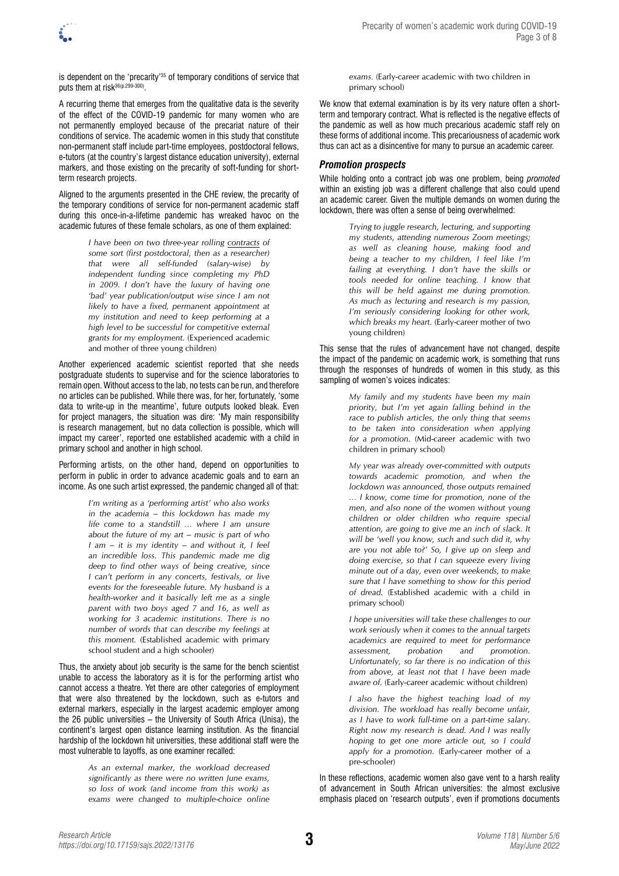is dependent on the 'precarity'35 of temporary conditions of service that puts them at risk36(p.299-300).

A recurring theme that emerges from the qualitative data is the severity of the effect of the COVID-19 pandemic for many women who are not permanently employed because of the precariat nature of their conditions of service. The academic women in this study that constitute non-permanent staff include part-time employees, postdoctoral fellows, e-tutors (at the country's largest distance education university), external markers, and those existing on the precarity of soft-funding for shortterm research projects.

Aligned to the arguments presented in the CHE review, the precarity of the temporary conditions of service for non-permanent academic staff during this once-in-a-lifetime pandemic has wreaked havoc on the academic futures of these female scholars, as one of them explained:

> *I have been on two three-year rolling contracts of some sort (first postdoctoral, then as a researcher) that were all self-funded (salary-wise) by independent funding since completing my PhD in 2009. I don't have the luxury of having one 'bad' year publication/output wise since I am not likely to have a fixed, permanent appointment at my institution and need to keep performing at a high level to be successful for competitive external grants for my employment.* (Experienced academic and mother of three young children)

Another experienced academic scientist reported that she needs postgraduate students to supervise and for the science laboratories to remain open. Without access to the lab, no tests can be run, and therefore no articles can be published. While there was, for her, fortunately, 'some data to write-up in the meantime', future outputs looked bleak. Even for project managers, the situation was dire: 'My main responsibility is research management, but no data collection is possible, which will impact my career', reported one established academic with a child in primary school and another in high school.

Performing artists, on the other hand, depend on opportunities to perform in public in order to advance academic goals and to earn an income. As one such artist expressed, the pandemic changed all of that:

> *I'm writing as a 'performing artist' who also works in the academia – this lockdown has made my life come to a standstill … where I am unsure about the future of my art – music is part of who I am – it is my identity – and without it, I feel an incredible loss. This pandemic made me dig deep to find other ways of being creative, since I can't perform in any concerts, festivals, or live events for the foreseeable future. My husband is a health-worker and it basically left me as a single parent with two boys aged 7 and 16, as well as working for 3 academic institutions. There is no number of words that can describe my feelings at this moment.* (Established academic with primary school student and a high schooler)

Thus, the anxiety about job security is the same for the bench scientist unable to access the laboratory as it is for the performing artist who cannot access a theatre. Yet there are other categories of employment that were also threatened by the lockdown, such as e-tutors and external markers, especially in the largest academic employer among the 26 public universities – the University of South Africa (Unisa), the continent's largest open distance learning institution. As the financial hardship of the lockdown hit universities, these additional staff were the most vulnerable to layoffs, as one examiner recalled:

> *As an external marker, the workload decreased significantly as there were no written June exams, so loss of work (and income from this work) as exams were changed to multiple-choice online*

*exams.* (Early-career academic with two children in primary school)

We know that external examination is by its very nature often a shortterm and temporary contract. What is reflected is the negative effects of the pandemic as well as how much precarious academic staff rely on these forms of additional income. This precariousness of academic work thus can act as a disincentive for many to pursue an academic career.

### *Promotion prospects*

While holding onto a contract job was one problem, being *promoted* within an existing job was a different challenge that also could upend an academic career. Given the multiple demands on women during the lockdown, there was often a sense of being overwhelmed:

> *Trying to juggle research, lecturing, and supporting my students, attending numerous Zoom meetings; as well as cleaning house, making food and being a teacher to my children, I feel like I'm failing at everything. I don't have the skills or tools needed for online teaching. I know that this will be held against me during promotion. As much as lecturing and research is my passion, I'm seriously considering looking for other work, which breaks my heart.* (Early-career mother of two young children)

This sense that the rules of advancement have not changed, despite the impact of the pandemic on academic work, is something that runs through the responses of hundreds of women in this study, as this sampling of women's voices indicates:

> *My family and my students have been my main priority, but I'm yet again falling behind in the race to publish articles, the only thing that seems to be taken into consideration when applying for a promotion.* (Mid-career academic with two children in primary school)

> *My year was already over-committed with outputs towards academic promotion, and when the lockdown was announced, those outputs remained … I know, come time for promotion, none of the men, and also none of the women without young children or older children who require special attention, are going to give me an inch of slack. It will be 'well you know, such and such did it, why are you not able to?' So, I give up on sleep and doing exercise, so that I can squeeze every living minute out of a day, even over weekends, to make sure that I have something to show for this period of dread.* (Established academic with a child in primary school)

> *I hope universities will take these challenges to our work seriously when it comes to the annual targets academics are required to meet for performance assessment, probation and promotion. Unfortunately, so far there is no indication of this from above, at least not that I have been made aware of.* (Early-career academic without children)

> *I also have the highest teaching load of my division. The workload has really become unfair, as I have to work full-time on a part-time salary. Right now my research is dead. And I was really hoping to get one more article out, so I could apply for a promotion.* (Early-career mother of a pre-schooler)

In these reflections, academic women also gave vent to a harsh reality of advancement in South African universities: the almost exclusive emphasis placed on 'research outputs', even if promotions documents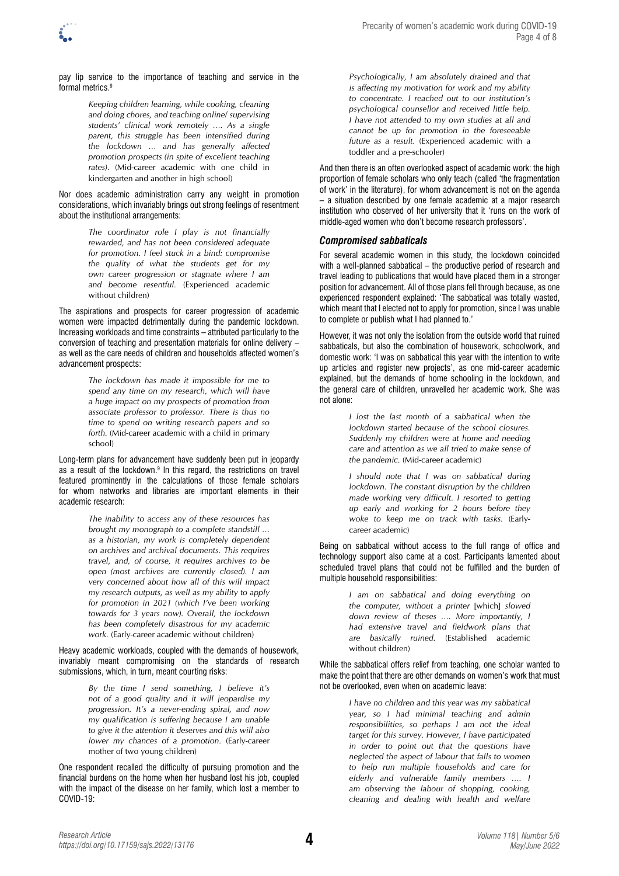

pay lip service to the importance of teaching and service in the formal metrics.9

> *Keeping children learning, while cooking, cleaning and doing chores, and teaching online/ supervising students' clinical work remotely …. As a single parent, this struggle has been intensified during the lockdown … and has generally affected promotion prospects (in spite of excellent teaching rates).* (Mid-career academic with one child in kindergarten and another in high school)

Nor does academic administration carry any weight in promotion considerations, which invariably brings out strong feelings of resentment about the institutional arrangements:

> *The coordinator role I play is not financially rewarded, and has not been considered adequate for promotion. I feel stuck in a bind: compromise the quality of what the students get for my own career progression or stagnate where I am and become resentful.* (Experienced academic without children)

The aspirations and prospects for career progression of academic women were impacted detrimentally during the pandemic lockdown. Increasing workloads and time constraints – attributed particularly to the conversion of teaching and presentation materials for online delivery – as well as the care needs of children and households affected women's advancement prospects:

> *The lockdown has made it impossible for me to spend any time on my research, which will have a huge impact on my prospects of promotion from associate professor to professor. There is thus no time to spend on writing research papers and so forth.* (Mid-career academic with a child in primary school)

Long-term plans for advancement have suddenly been put in jeopardy as a result of the lockdown.<sup>9</sup> In this regard, the restrictions on travel featured prominently in the calculations of those female scholars for whom networks and libraries are important elements in their academic research:

> *The inability to access any of these resources has brought my monograph to a complete standstill … as a historian, my work is completely dependent on archives and archival documents. This requires travel, and, of course, it requires archives to be open (most archives are currently closed). I am very concerned about how all of this will impact my research outputs, as well as my ability to apply for promotion in 2021 (which I've been working towards for 3 years now). Overall, the lockdown has been completely disastrous for my academic work.* (Early-career academic without children)

#### Heavy academic workloads, coupled with the demands of housework, invariably meant compromising on the standards of research submissions, which, in turn, meant courting risks:

*By the time I send something, I believe it's not of a good quality and it will jeopardise my progression. It's a never-ending spiral, and now my qualification is suffering because I am unable to give it the attention it deserves and this will also lower my chances of a promotion.* (Early-career mother of two young children)

One respondent recalled the difficulty of pursuing promotion and the financial burdens on the home when her husband lost his job, coupled with the impact of the disease on her family, which lost a member to COVID-19:

*Psychologically, I am absolutely drained and that is affecting my motivation for work and my ability to concentrate. I reached out to our institution's psychological counsellor and received little help. I have not attended to my own studies at all and cannot be up for promotion in the foreseeable future as a result.* (Experienced academic with a toddler and a pre-schooler)

And then there is an often overlooked aspect of academic work: the high proportion of female scholars who only teach (called 'the fragmentation of work' in the literature), for whom advancement is not on the agenda – a situation described by one female academic at a major research institution who observed of her university that it 'runs on the work of middle-aged women who don't become research professors'.

### *Compromised sabbaticals*

For several academic women in this study, the lockdown coincided with a well-planned sabbatical – the productive period of research and travel leading to publications that would have placed them in a stronger position for advancement. All of those plans fell through because, as one experienced respondent explained: 'The sabbatical was totally wasted, which meant that I elected not to apply for promotion, since I was unable to complete or publish what I had planned to.'

However, it was not only the isolation from the outside world that ruined sabbaticals, but also the combination of housework, schoolwork, and domestic work: 'I was on sabbatical this year with the intention to write up articles and register new projects', as one mid-career academic explained, but the demands of home schooling in the lockdown, and the general care of children, unravelled her academic work. She was not alone:

> *I lost the last month of a sabbatical when the lockdown started because of the school closures. Suddenly my children were at home and needing care and attention as we all tried to make sense of the pandemic.* (Mid-career academic)

> *I should note that I was on sabbatical during lockdown. The constant disruption by the children made working very difficult. I resorted to getting up early and working for 2 hours before they woke to keep me on track with tasks.* (Earlycareer academic)

Being on sabbatical without access to the full range of office and technology support also came at a cost. Participants lamented about scheduled travel plans that could not be fulfilled and the burden of multiple household responsibilities:

> *I am on sabbatical and doing everything on the computer, without a printer* [which] *slowed down review of theses …. More importantly, I had extensive travel and fieldwork plans that are basically ruined.* (Established academic without children)

While the sabbatical offers relief from teaching, one scholar wanted to make the point that there are other demands on women's work that must not be overlooked, even when on academic leave:

> *I have no children and this year was my sabbatical year, so I had minimal teaching and admin responsibilities, so perhaps I am not the ideal target for this survey. However, I have participated in order to point out that the questions have neglected the aspect of labour that falls to women to help run multiple households and care for elderly and vulnerable family members …. I am observing the labour of shopping, cooking, cleaning and dealing with health and welfare*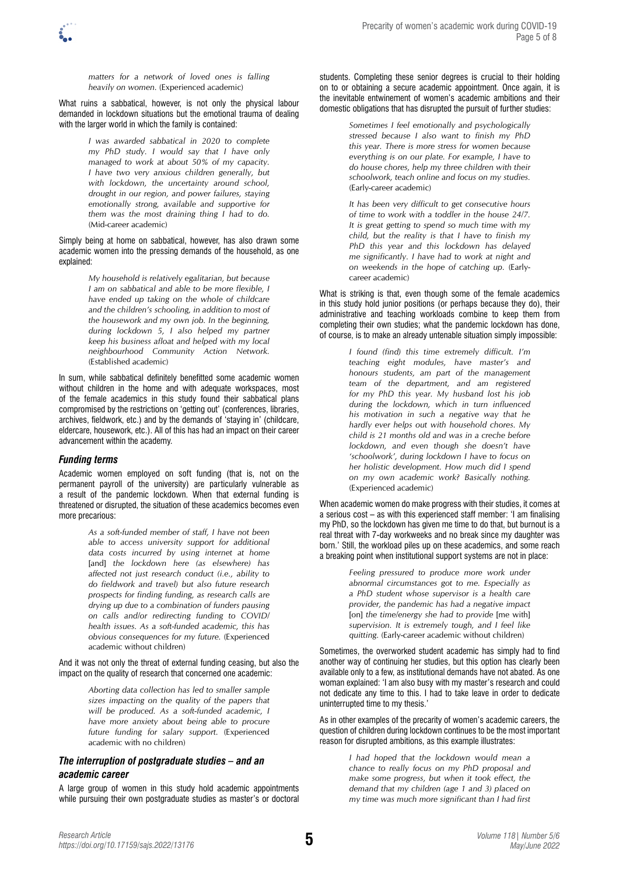*matters for a network of loved ones is falling heavily on women.* (Experienced academic)

What ruins a sabbatical, however, is not only the physical labour demanded in lockdown situations but the emotional trauma of dealing with the larger world in which the family is contained:

> *I was awarded sabbatical in 2020 to complete my PhD study. I would say that I have only managed to work at about 50% of my capacity. I have two very anxious children generally, but with lockdown, the uncertainty around school, drought in our region, and power failures, staying emotionally strong, available and supportive for them was the most draining thing I had to do.*  (Mid-career academic)

Simply being at home on sabbatical, however, has also drawn some academic women into the pressing demands of the household, as one explained:

> *My household is relatively egalitarian, but because I am on sabbatical and able to be more flexible, I have ended up taking on the whole of childcare and the children's schooling, in addition to most of the housework and my own job. In the beginning, during lockdown 5, I also helped my partner keep his business afloat and helped with my local neighbourhood Community Action Network.*  (Established academic)

In sum, while sabbatical definitely benefitted some academic women without children in the home and with adequate workspaces, most of the female academics in this study found their sabbatical plans compromised by the restrictions on 'getting out' (conferences, libraries, archives, fieldwork, etc.) and by the demands of 'staying in' (childcare, eldercare, housework, etc.). All of this has had an impact on their career advancement within the academy.

### *Funding terms*

Academic women employed on soft funding (that is, not on the permanent payroll of the university) are particularly vulnerable as a result of the pandemic lockdown. When that external funding is threatened or disrupted, the situation of these academics becomes even more precarious:

> *As a soft-funded member of staff, I have not been able to access university support for additional data costs incurred by using internet at home*  [and] *the lockdown here (as elsewhere) has affected not just research conduct (i.e., ability to do fieldwork and travel) but also future research prospects for finding funding, as research calls are drying up due to a combination of funders pausing on calls and/or redirecting funding to COVID/ health issues. As a soft-funded academic, this has obvious consequences for my future.* (Experienced academic without children)

And it was not only the threat of external funding ceasing, but also the impact on the quality of research that concerned one academic:

> *Aborting data collection has led to smaller sample sizes impacting on the quality of the papers that will be produced. As a soft-funded academic, I have more anxiety about being able to procure future funding for salary support.* (Experienced academic with no children)

### *The interruption of postgraduate studies – and an academic career*

A large group of women in this study hold academic appointments while pursuing their own postgraduate studies as master's or doctoral

students. Completing these senior degrees is crucial to their holding on to or obtaining a secure academic appointment. Once again, it is the inevitable entwinement of women's academic ambitions and their domestic obligations that has disrupted the pursuit of further studies:

> *Sometimes I feel emotionally and psychologically stressed because I also want to finish my PhD this year. There is more stress for women because everything is on our plate. For example, I have to do house chores, help my three children with their schoolwork, teach online and focus on my studies.*  (Early-career academic)

> *It has been very difficult to get consecutive hours of time to work with a toddler in the house 24/7. It is great getting to spend so much time with my child, but the reality is that I have to finish my PhD this year and this lockdown has delayed me significantly. I have had to work at night and on weekends in the hope of catching up.* (Earlycareer academic)

What is striking is that, even though some of the female academics in this study hold junior positions (or perhaps because they do), their administrative and teaching workloads combine to keep them from completing their own studies; what the pandemic lockdown has done, of course, is to make an already untenable situation simply impossible:

> *I found (find) this time extremely difficult. I'm teaching eight modules, have master's and honours students, am part of the management team of the department, and am registered for my PhD this year. My husband lost his job during the lockdown, which in turn influenced his motivation in such a negative way that he hardly ever helps out with household chores. My child is 21 months old and was in a creche before lockdown, and even though she doesn't have 'schoolwork', during lockdown I have to focus on her holistic development. How much did I spend on my own academic work? Basically nothing.*  (Experienced academic)

When academic women do make progress with their studies, it comes at a serious cost – as with this experienced staff member: 'I am finalising my PhD, so the lockdown has given me time to do that, but burnout is a real threat with 7-day workweeks and no break since my daughter was born.' Still, the workload piles up on these academics, and some reach a breaking point when institutional support systems are not in place:

> *Feeling pressured to produce more work under abnormal circumstances got to me. Especially as a PhD student whose supervisor is a health care provider, the pandemic has had a negative impact*  [on] *the time/energy she had to provide* [me with] *supervision. It is extremely tough, and I feel like quitting.* (Early-career academic without children)

Sometimes, the overworked student academic has simply had to find another way of continuing her studies, but this option has clearly been available only to a few, as institutional demands have not abated. As one woman explained: 'I am also busy with my master's research and could not dedicate any time to this. I had to take leave in order to dedicate uninterrupted time to my thesis.'

As in other examples of the precarity of women's academic careers, the question of children during lockdown continues to be the most important reason for disrupted ambitions, as this example illustrates:

> *I had hoped that the lockdown would mean a chance to really focus on my PhD proposal and make some progress, but when it took effect, the demand that my children (age 1 and 3) placed on my time was much more significant than I had first*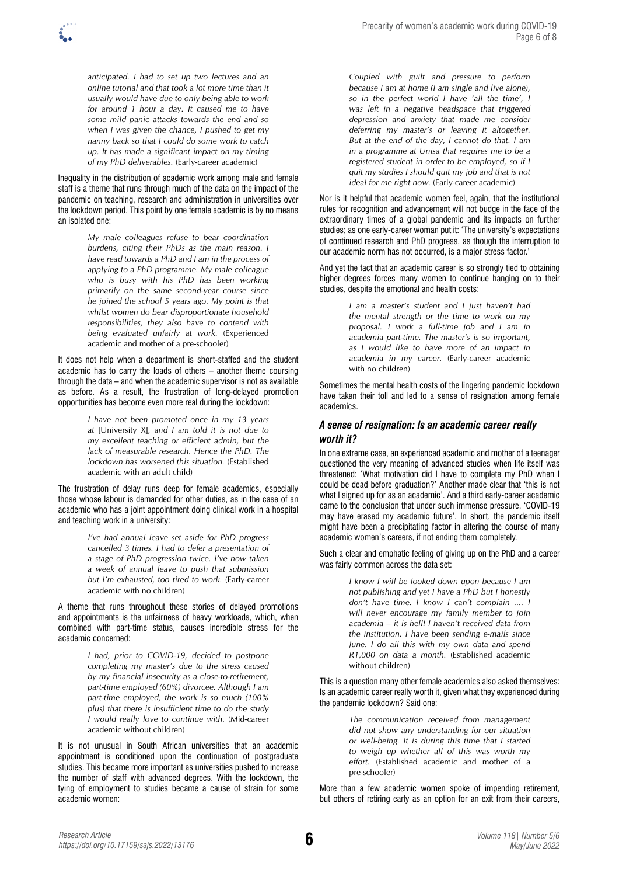

*anticipated. I had to set up two lectures and an online tutorial and that took a lot more time than it usually would have due to only being able to work for around 1 hour a day. It caused me to have some mild panic attacks towards the end and so when I was given the chance, I pushed to get my nanny back so that I could do some work to catch up. It has made a significant impact on my timing of my PhD deliverables.* (Early-career academic)

Inequality in the distribution of academic work among male and female staff is a theme that runs through much of the data on the impact of the pandemic on teaching, research and administration in universities over the lockdown period. This point by one female academic is by no means an isolated one:

> *My male colleagues refuse to bear coordination burdens, citing their PhDs as the main reason. I have read towards a PhD and I am in the process of applying to a PhD programme. My male colleague who is busy with his PhD has been working primarily on the same second-year course since he joined the school 5 years ago. My point is that whilst women do bear disproportionate household responsibilities, they also have to contend with being evaluated unfairly at work.* (Experienced academic and mother of a pre-schooler)

It does not help when a department is short-staffed and the student academic has to carry the loads of others – another theme coursing through the data – and when the academic supervisor is not as available as before. As a result, the frustration of long-delayed promotion opportunities has become even more real during the lockdown:

> *I have not been promoted once in my 13 years at* [University X]*, and I am told it is not due to my excellent teaching or efficient admin, but the lack of measurable research. Hence the PhD. The lockdown has worsened this situation.* (Established academic with an adult child)

The frustration of delay runs deep for female academics, especially those whose labour is demanded for other duties, as in the case of an academic who has a joint appointment doing clinical work in a hospital and teaching work in a university:

> *I've had annual leave set aside for PhD progress cancelled 3 times. I had to defer a presentation of a stage of PhD progression twice. I've now taken a week of annual leave to push that submission but I'm exhausted, too tired to work.* (Early-career academic with no children)

A theme that runs throughout these stories of delayed promotions and appointments is the unfairness of heavy workloads, which, when combined with part-time status, causes incredible stress for the academic concerned:

> *I had, prior to COVID-19, decided to postpone completing my master's due to the stress caused by my financial insecurity as a close-to-retirement, part-time employed (60%) divorcee. Although I am part-time employed, the work is so much (100% plus) that there is insufficient time to do the study I would really love to continue with.* (Mid-career academic without children)

It is not unusual in South African universities that an academic appointment is conditioned upon the continuation of postgraduate studies. This became more important as universities pushed to increase the number of staff with advanced degrees. With the lockdown, the tying of employment to studies became a cause of strain for some academic women:

*Coupled with guilt and pressure to perform because I am at home (I am single and live alone), so in the perfect world I have 'all the time', I was left in a negative headspace that triggered depression and anxiety that made me consider deferring my master's or leaving it altogether. But at the end of the day, I cannot do that. I am in a programme at Unisa that requires me to be a registered student in order to be employed, so if I quit my studies I should quit my job and that is not ideal for me right now.* (Early-career academic)

Nor is it helpful that academic women feel, again, that the institutional rules for recognition and advancement will not budge in the face of the extraordinary times of a global pandemic and its impacts on further studies; as one early-career woman put it: 'The university's expectations of continued research and PhD progress, as though the interruption to our academic norm has not occurred, is a major stress factor.'

And yet the fact that an academic career is so strongly tied to obtaining higher degrees forces many women to continue hanging on to their studies, despite the emotional and health costs:

> *I am a master's student and I just haven't had the mental strength or the time to work on my proposal. I work a full-time job and I am in academia part-time. The master's is so important, as I would like to have more of an impact in academia in my career.* (Early-career academic with no children)

Sometimes the mental health costs of the lingering pandemic lockdown have taken their toll and led to a sense of resignation among female academics.

### *A sense of resignation: Is an academic career really worth it?*

In one extreme case, an experienced academic and mother of a teenager questioned the very meaning of advanced studies when life itself was threatened: 'What motivation did I have to complete my PhD when I could be dead before graduation?' Another made clear that 'this is not what I signed up for as an academic'. And a third early-career academic came to the conclusion that under such immense pressure, 'COVID-19 may have erased my academic future'. In short, the pandemic itself might have been a precipitating factor in altering the course of many academic women's careers, if not ending them completely.

Such a clear and emphatic feeling of giving up on the PhD and a career was fairly common across the data set:

> *I know I will be looked down upon because I am not publishing and yet I have a PhD but I honestly don't have time. I know I can't complain .... I will never encourage my family member to join academia – it is hell! I haven't received data from the institution. I have been sending e-mails since June. I do all this with my own data and spend R1,000 on data a month.* (Established academic without children)

This is a question many other female academics also asked themselves: Is an academic career really worth it, given what they experienced during the pandemic lockdown? Said one:

> *The communication received from management did not show any understanding for our situation or well-being. It is during this time that I started to weigh up whether all of this was worth my effort.* (Established academic and mother of a pre-schooler)

More than a few academic women spoke of impending retirement, but others of retiring early as an option for an exit from their careers,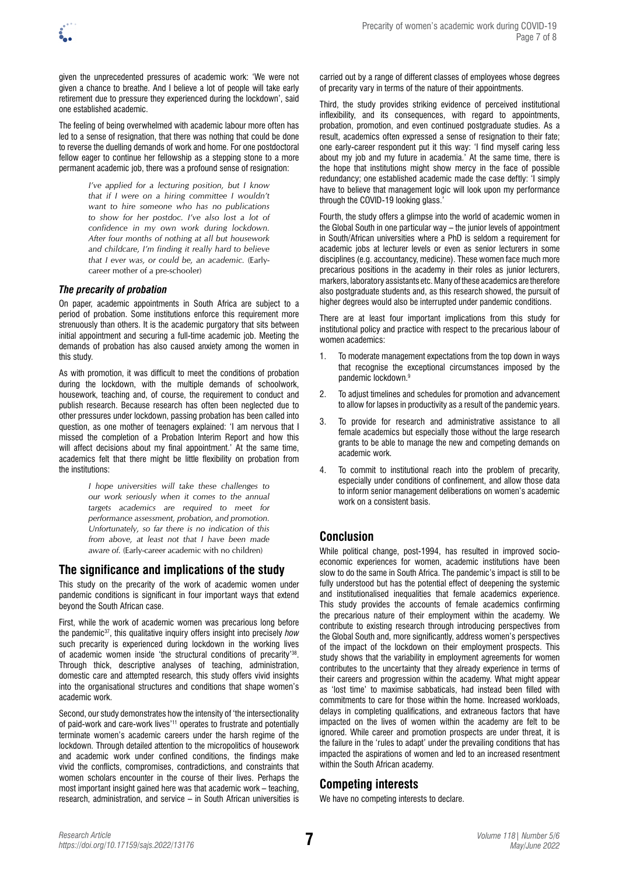given the unprecedented pressures of academic work: 'We were not given a chance to breathe. And I believe a lot of people will take early retirement due to pressure they experienced during the lockdown', said one established academic.

The feeling of being overwhelmed with academic labour more often has led to a sense of resignation, that there was nothing that could be done to reverse the duelling demands of work and home. For one postdoctoral fellow eager to continue her fellowship as a stepping stone to a more permanent academic job, there was a profound sense of resignation:

> *I've applied for a lecturing position, but I know that if I were on a hiring committee I wouldn't want to hire someone who has no publications to show for her postdoc. I've also lost a lot of confidence in my own work during lockdown. After four months of nothing at all but housework and childcare, I'm finding it really hard to believe that I ever was, or could be, an academic.* (Earlycareer mother of a pre-schooler)

### *The precarity of probation*

On paper, academic appointments in South Africa are subject to a period of probation. Some institutions enforce this requirement more strenuously than others. It is the academic purgatory that sits between initial appointment and securing a full-time academic job. Meeting the demands of probation has also caused anxiety among the women in this study.

As with promotion, it was difficult to meet the conditions of probation during the lockdown, with the multiple demands of schoolwork, housework, teaching and, of course, the requirement to conduct and publish research. Because research has often been neglected due to other pressures under lockdown, passing probation has been called into question, as one mother of teenagers explained: 'I am nervous that I missed the completion of a Probation Interim Report and how this will affect decisions about my final appointment.' At the same time, academics felt that there might be little flexibility on probation from the institutions:

> *I hope universities will take these challenges to our work seriously when it comes to the annual targets academics are required to meet for performance assessment, probation, and promotion. Unfortunately, so far there is no indication of this from above, at least not that I have been made aware of.* (Early-career academic with no children)

# **The significance and implications of the study**

This study on the precarity of the work of academic women under pandemic conditions is significant in four important ways that extend beyond the South African case.

First, while the work of academic women was precarious long before the pandemic37, this qualitative inquiry offers insight into precisely *how* such precarity is experienced during lockdown in the working lives of academic women inside 'the structural conditions of precarity'38. Through thick, descriptive analyses of teaching, administration, domestic care and attempted research, this study offers vivid insights into the organisational structures and conditions that shape women's academic work.

Second, our study demonstrates how the intensity of 'the intersectionality of paid-work and care-work lives'11 operates to frustrate and potentially terminate women's academic careers under the harsh regime of the lockdown. Through detailed attention to the micropolitics of housework and academic work under confined conditions, the findings make vivid the conflicts, compromises, contradictions, and constraints that women scholars encounter in the course of their lives. Perhaps the most important insight gained here was that academic work – teaching, research, administration, and service – in South African universities is carried out by a range of different classes of employees whose degrees of precarity vary in terms of the nature of their appointments.

Third, the study provides striking evidence of perceived institutional inflexibility, and its consequences, with regard to appointments, probation, promotion, and even continued postgraduate studies. As a result, academics often expressed a sense of resignation to their fate; one early-career respondent put it this way: 'I find myself caring less about my job and my future in academia.' At the same time, there is the hope that institutions might show mercy in the face of possible redundancy; one established academic made the case deftly: 'I simply have to believe that management logic will look upon my performance through the COVID-19 looking glass.'

Fourth, the study offers a glimpse into the world of academic women in the Global South in one particular way – the junior levels of appointment in South/African universities where a PhD is seldom a requirement for academic jobs at lecturer levels or even as senior lecturers in some disciplines (e.g. accountancy, medicine). These women face much more precarious positions in the academy in their roles as junior lecturers, markers, laboratory assistants etc. Many of these academics are therefore also postgraduate students and, as this research showed, the pursuit of higher degrees would also be interrupted under pandemic conditions.

There are at least four important implications from this study for institutional policy and practice with respect to the precarious labour of women academics:

- 1. To moderate management expectations from the top down in ways that recognise the exceptional circumstances imposed by the pandemic lockdown.9
- 2. To adjust timelines and schedules for promotion and advancement to allow for lapses in productivity as a result of the pandemic years.
- 3. To provide for research and administrative assistance to all female academics but especially those without the large research grants to be able to manage the new and competing demands on academic work.
- 4. To commit to institutional reach into the problem of precarity, especially under conditions of confinement, and allow those data to inform senior management deliberations on women's academic work on a consistent basis.

# **Conclusion**

While political change, post-1994, has resulted in improved socioeconomic experiences for women, academic institutions have been slow to do the same in South Africa. The pandemic's impact is still to be fully understood but has the potential effect of deepening the systemic and institutionalised inequalities that female academics experience. This study provides the accounts of female academics confirming the precarious nature of their employment within the academy. We contribute to existing research through introducing perspectives from the Global South and, more significantly, address women's perspectives of the impact of the lockdown on their employment prospects. This study shows that the variability in employment agreements for women contributes to the uncertainty that they already experience in terms of their careers and progression within the academy. What might appear as 'lost time' to maximise sabbaticals, had instead been filled with commitments to care for those within the home. Increased workloads, delays in completing qualifications, and extraneous factors that have impacted on the lives of women within the academy are felt to be ignored. While career and promotion prospects are under threat, it is the failure in the 'rules to adapt' under the prevailing conditions that has impacted the aspirations of women and led to an increased resentment within the South African academy.

## **Competing interests**

We have no competing interests to declare.